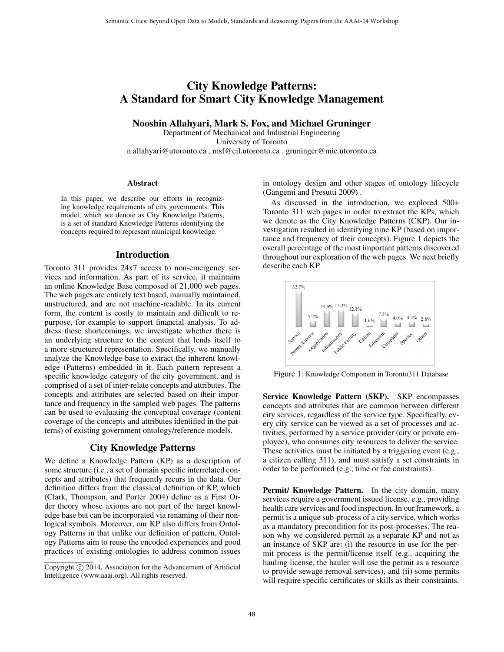# City Knowledge Patterns: A Standard for Smart City Knowledge Management

Nooshin Allahyari, Mark S. Fox, and Michael Gruninger

Department of Mechanical and Industrial Engineering University of Toronto n.allahyari@utoronto.ca , msf@eil.utoronto.ca , gruninger@mie.utoronto.ca

#### Abstract

In this paper, we describe our efforts in recognizing knowledge requirements of city governments. This model, which we denote as City Knowledge Patterns, is a set of standard Knowledge Patterns identifying the concepts required to represent municipal knowledge.

### Introduction

Toronto 311 provides 24x7 access to non-emergency services and information. As part of its service, it maintains an online Knowledge Base composed of 21,000 web pages. The web pages are entirely text based, manually maintained, unstructured, and are not machine-readable. In its current form, the content is costly to maintain and difficult to repurpose, for example to support financial analysis. To address these shortcomings, we investigate whether there is an underlying structure to the content that lends itself to a more structured representation. Specifically, we manually analyze the Knowledge-base to extract the inherent knowledge (Patterns) embedded in it. Each pattern represent a specific knowledge category of the city government, and is comprised of a set of inter-relate concepts and attributes. The concepts and attributes are selected based on their importance and frequency in the sampled web pages. The patterns can be used to evaluating the conceptual coverage (content coverage of the concepts and attributes identified in the patterns) of existing government ontology/reference models.

## City Knowledge Patterns

We define a Knowledge Pattern (KP) as a description of some structure (i.e., a set of domain specific interrelated concepts and attributes) that frequently recurs in the data. Our definition differs from the classical definition of KP, which (Clark, Thompson, and Porter 2004) define as a First Order theory whose axioms are not part of the target knowledge base but can be incorporated via renaming of their nonlogical symbols. Moreover, our KP also differs from Ontology Patterns in that unlike our definition of pattern, Ontology Patterns aim to reuse the encoded experiences and good practices of existing ontologies to address common issues

in ontology design and other stages of ontology lifecycle (Gangemi and Presutti 2009) .

As discussed in the introduction, we explored 500+ Toronto 311 web pages in order to extract the KPs, which we denote as the City Knowledge Patterns (CKP). Our investigation resulted in identifying nine KP (based on importance and frequency of their concepts). Figure 1 depicts the overall percentage of the most important patterns discovered throughout our exploration of the web pages. We next briefly describe each KP.



Figure 1: Knowledge Component in Toronto311 Database

Service Knowledge Pattern (SKP). SKP encompasses concepts and attributes that are common between different city services, regardless of the service type. Specifically, every city service can be viewed as a set of processes and activities, performed by a service provider (city or private employee), who consumes city resources to deliver the service. These activities must be initiated by a triggering event (e.g., a citizen calling 311), and must satisfy a set constraints in order to be performed (e.g., time or fee constraints).

Permit/ Knowledge Pattern. In the city domain, many services require a government issued license, e.g., providing health care services and food inspection. In our framework, a permit is a unique sub-process of a city service, which works as a mandatory precondition for its post-processes. The reason why we considered permit as a separate KP and not as an instance of SKP are: (i) the resource in use for the permit process is the permit/license itself (e.g., acquiring the hauling license, the hauler will use the permit as a resource to provide sewage removal services), and (ii) some permits will require specific certificates or skills as their constraints.

Copyright © 2014, Association for the Advancement of Artificial Intelligence (www.aaai.org). All rights reserved.